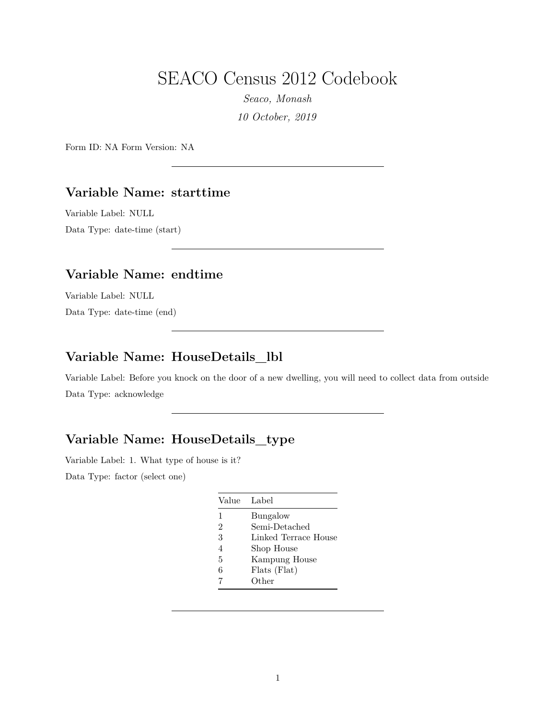# SEACO Census 2012 Codebook

*Seaco, Monash 10 October, 2019*

Form ID: NA Form Version: NA

#### **Variable Name: starttime**

Variable Label: NULL Data Type: date-time (start)

#### **Variable Name: endtime**

Variable Label: NULL Data Type: date-time (end)

# **Variable Name: HouseDetails\_lbl**

Variable Label: Before you knock on the door of a new dwelling, you will need to collect data from outside Data Type: acknowledge

#### **Variable Name: HouseDetails\_type**

Variable Label: 1. What type of house is it?

|                | Value Label          |
|----------------|----------------------|
| $\mathbf{1}$   | Bungalow             |
| $\mathfrak{D}$ | Semi-Detached        |
| 3              | Linked Terrace House |
| $\overline{4}$ | Shop House           |
| 5              | Kampung House        |
| 6              | Flats (Flat)         |
|                | Other                |
|                |                      |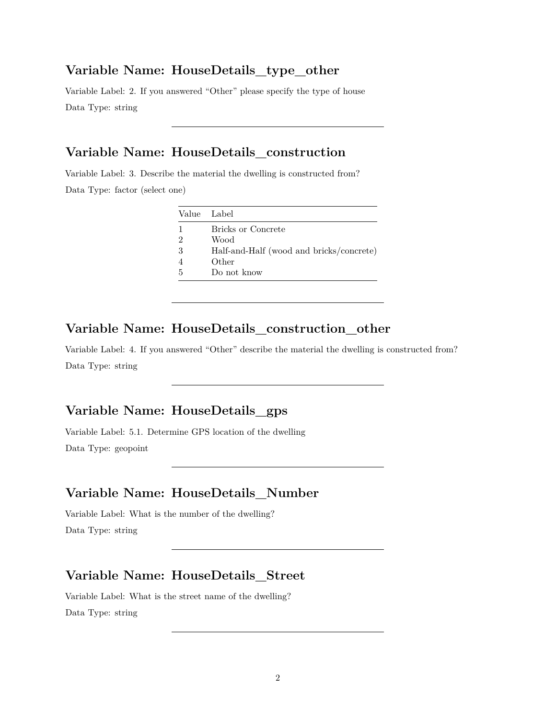#### **Variable Name: HouseDetails\_type\_other**

Variable Label: 2. If you answered "Other" please specify the type of house Data Type: string

### **Variable Name: HouseDetails\_construction**

Variable Label: 3. Describe the material the dwelling is constructed from?

Data Type: factor (select one)

| Value Label    |                                          |
|----------------|------------------------------------------|
| 1              | Bricks or Concrete                       |
| $\overline{2}$ | Wood                                     |
| 3              | Half-and-Half (wood and bricks/concrete) |
| $\overline{4}$ | Other                                    |
| .5             | Do not know                              |

### **Variable Name: HouseDetails\_construction\_other**

Variable Label: 4. If you answered "Other" describe the material the dwelling is constructed from? Data Type: string

#### **Variable Name: HouseDetails\_gps**

Variable Label: 5.1. Determine GPS location of the dwelling Data Type: geopoint

### **Variable Name: HouseDetails\_Number**

Variable Label: What is the number of the dwelling? Data Type: string

#### **Variable Name: HouseDetails\_Street**

Variable Label: What is the street name of the dwelling? Data Type: string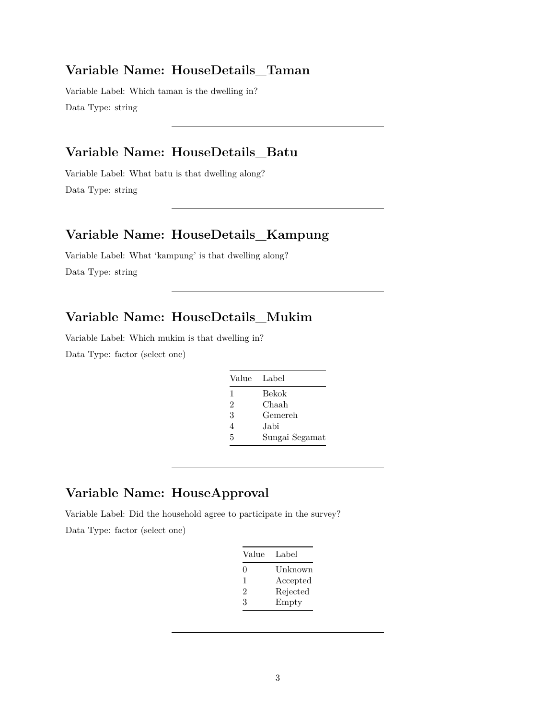#### **Variable Name: HouseDetails\_Taman**

Variable Label: Which taman is the dwelling in? Data Type: string

### **Variable Name: HouseDetails\_Batu**

Variable Label: What batu is that dwelling along? Data Type: string

#### **Variable Name: HouseDetails\_Kampung**

Variable Label: What 'kampung' is that dwelling along? Data Type: string

### **Variable Name: HouseDetails\_Mukim**

Variable Label: Which mukim is that dwelling in? Data Type: factor (select one)

| Value Label    |                |
|----------------|----------------|
| 1              | Bekok          |
| $\overline{2}$ | Chaah          |
| 3              | Gemereh        |
| 4              | Jabi           |
| 5              | Sungai Segamat |
|                |                |

# **Variable Name: HouseApproval**

Variable Label: Did the household agree to participate in the survey?

| Value    | Label    |
|----------|----------|
| $\Omega$ | Unknown  |
| 1        | Accepted |
| 2        | Rejected |
| 3        | Empty    |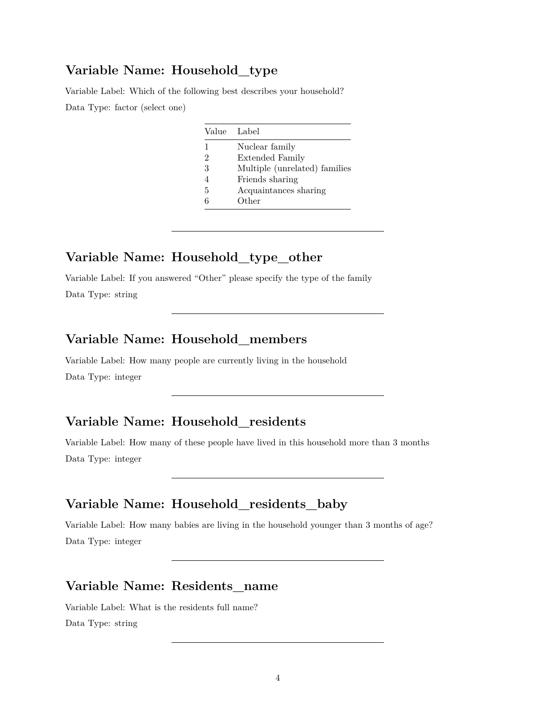#### **Variable Name: Household\_type**

Variable Label: Which of the following best describes your household? Data Type: factor (select one)

|   | Value Label                   |
|---|-------------------------------|
| 1 | Nuclear family                |
| 2 | <b>Extended Family</b>        |
| 3 | Multiple (unrelated) families |
| 4 | Friends sharing               |
| 5 | Acquaintances sharing         |
| հ | Other                         |

#### **Variable Name: Household\_type\_other**

Variable Label: If you answered "Other" please specify the type of the family Data Type: string

### **Variable Name: Household\_members**

Variable Label: How many people are currently living in the household Data Type: integer

# **Variable Name: Household\_residents**

Variable Label: How many of these people have lived in this household more than 3 months Data Type: integer

#### **Variable Name: Household\_residents\_baby**

Variable Label: How many babies are living in the household younger than 3 months of age? Data Type: integer

### **Variable Name: Residents\_name**

Variable Label: What is the residents full name? Data Type: string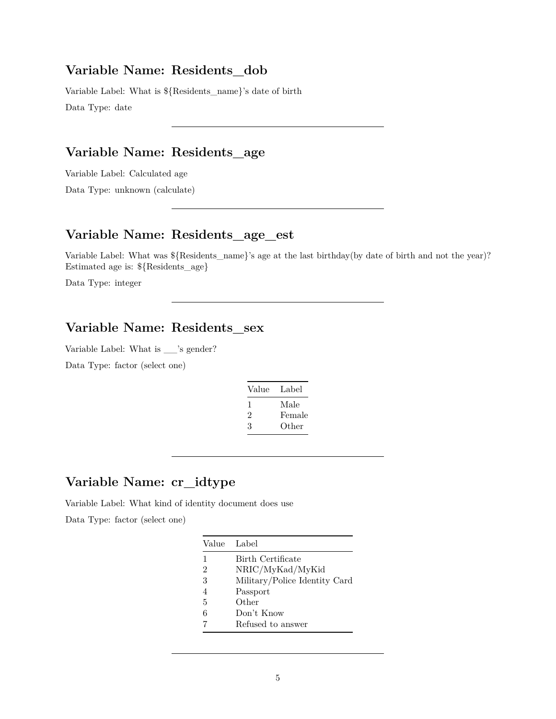#### **Variable Name: Residents\_dob**

Variable Label: What is \${Residents\_name}'s date of birth Data Type: date

### **Variable Name: Residents\_age**

Variable Label: Calculated age

Data Type: unknown (calculate)

#### **Variable Name: Residents\_age\_est**

Variable Label: What was \${Residents\_name}'s age at the last birthday(by date of birth and not the year)? Estimated age is: \${Residents\_age}

Data Type: integer

### **Variable Name: Residents\_sex**

Variable Label: What is \_\_'s gender?

Data Type: factor (select one)

| Value | Label  |
|-------|--------|
| ı     | Male   |
| 2     | Female |
| 3     | Other  |
|       |        |

#### **Variable Name: cr\_idtype**

Variable Label: What kind of identity document does use

|                | Value Label                   |
|----------------|-------------------------------|
| 1              | Birth Certificate             |
| 2              | NRIC/MyKad/MyKid              |
| 3              | Military/Police Identity Card |
| $\overline{4}$ | Passport                      |
| 5              | Other                         |
| 6              | Don't Know                    |
|                | Refused to answer             |
|                |                               |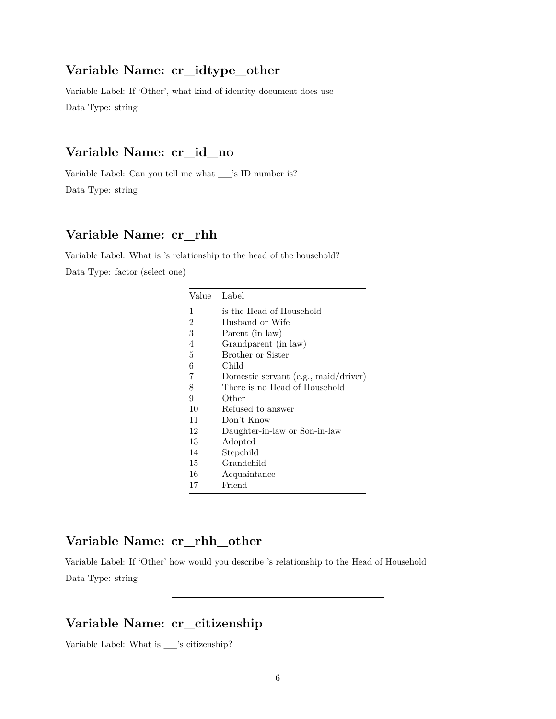#### **Variable Name: cr\_idtype\_other**

Variable Label: If 'Other', what kind of identity document does use Data Type: string

### **Variable Name: cr\_id\_no**

Variable Label: Can you tell me what \_\_'s ID number is? Data Type: string

#### **Variable Name: cr\_rhh**

Variable Label: What is 's relationship to the head of the household? Data Type: factor (select one)

| Value | Label                                  |
|-------|----------------------------------------|
| 1     | is the Head of Household               |
| 2     | Husband or Wife                        |
| 3     | Parent (in law)                        |
| 4     | Grandparent (in law)                   |
| 5     | <b>Brother or Sister</b>               |
| 6     | Child                                  |
| 7     | Domestic servant $(e.g., maid/driver)$ |
| 8     | There is no Head of Household          |
| 9     | Other                                  |
| 10    | Refused to answer                      |
| 11    | Don't Know                             |
| 12    | Daughter-in-law or Son-in-law          |
| 13    | Adopted                                |
| 14    | Stepchild                              |
| 15    | Grandchild                             |
| 16    | Acquaintance                           |
| 17    | Friend                                 |
|       |                                        |

#### **Variable Name: cr\_rhh\_other**

Variable Label: If 'Other' how would you describe 's relationship to the Head of Household Data Type: string

#### **Variable Name: cr\_citizenship**

Variable Label: What is \_\_'s citizenship?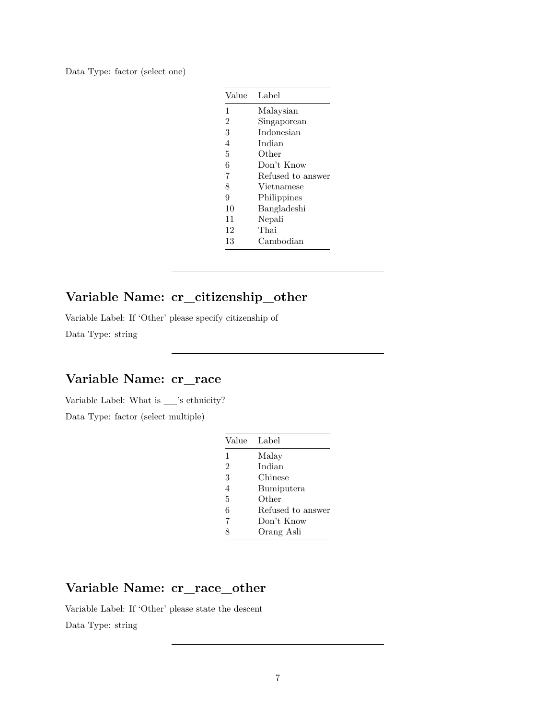Data Type: factor (select one)

| Value          | Label             |
|----------------|-------------------|
| 1              | Malaysian         |
| $\overline{2}$ | Singaporean       |
| 3              | Indonesian        |
| 4              | Indian            |
| 5              | Other             |
| 6              | Don't Know        |
| 7              | Refused to answer |
| 8              | Vietnamese        |
| 9              | Philippines       |
| 10             | Bangladeshi       |
| 11             | Nepali            |
| 12             | Thai              |
| 13             | Cambodian         |

# **Variable Name: cr\_citizenship\_other**

Variable Label: If 'Other' please specify citizenship of Data Type: string

### **Variable Name: cr\_race**

Variable Label: What is \_\_'s ethnicity? Data Type: factor (select multiple)

| Value          | Label             |
|----------------|-------------------|
| 1              | Malay             |
| $\overline{2}$ | Indian            |
| 3              | Chinese           |
| $\overline{4}$ | Bumiputera        |
| 5              | Other             |
| 6              | Refused to answer |
| 7              | Don't Know        |
| 8              | Orang Asli        |

# **Variable Name: cr\_race\_other**

Variable Label: If 'Other' please state the descent Data Type: string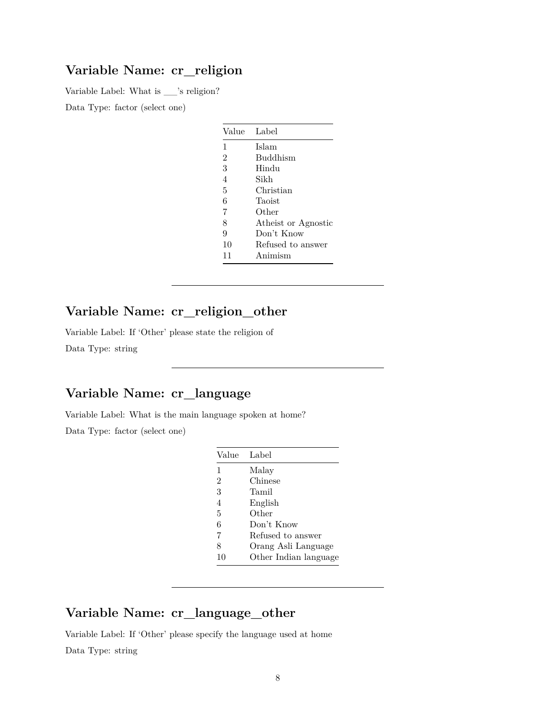#### **Variable Name: cr\_religion**

Variable Label: What is \_\_'s religion?

Data Type: factor (select one)

| Value          | Label               |
|----------------|---------------------|
| $\mathbf{1}$   | Islam               |
| $\overline{2}$ | Buddhism            |
| 3              | Hindu               |
| $\overline{4}$ | Sikh                |
| 5              | Christian           |
| 6              | Taoist              |
| 7              | Other               |
| 8              | Atheist or Agnostic |
| 9              | Don't Know          |
| 10             | Refused to answer   |
| 11             | Animism             |

# **Variable Name: cr\_religion\_other**

Variable Label: If 'Other' please state the religion of Data Type: string

# **Variable Name: cr\_language**

Variable Label: What is the main language spoken at home?

Data Type: factor (select one)

| Value                    | Label                 |
|--------------------------|-----------------------|
| 1                        | Malay                 |
| $\overline{2}$           | Chinese               |
| 3                        | Tamil                 |
| $\overline{\mathcal{A}}$ | English               |
| 5                        | Other                 |
| 6                        | Don't Know            |
| 7                        | Refused to answer     |
| 8                        | Orang Asli Language   |
| 10                       | Other Indian language |

### **Variable Name: cr\_language\_other**

Variable Label: If 'Other' please specify the language used at home Data Type: string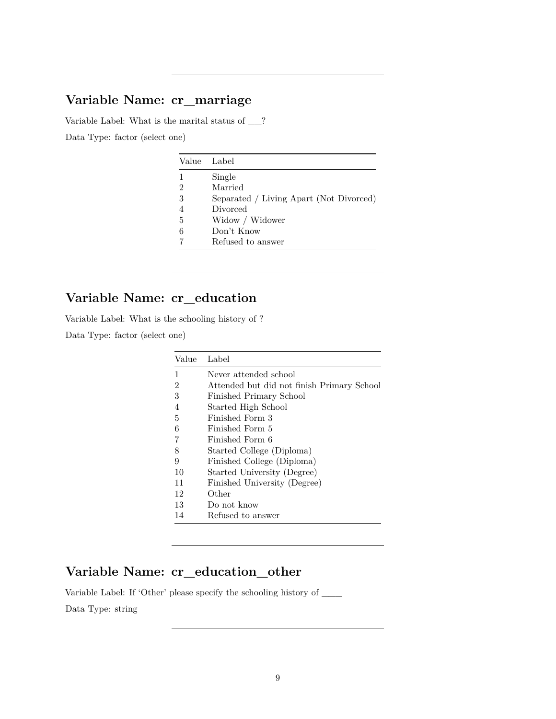### **Variable Name: cr\_marriage**

Variable Label: What is the marital status of \_\_? Data Type: factor (select one)

| Value | Label                                   |
|-------|-----------------------------------------|
| 1     | Single                                  |
| 2     | Married                                 |
| 3     | Separated / Living Apart (Not Divorced) |
|       | Divorced                                |
| 5     | Widow / Widower                         |
| 6     | Don't Know                              |
|       | Refused to answer                       |

# **Variable Name: cr\_education**

Variable Label: What is the schooling history of ?

Data Type: factor (select one)

| Value | Label                                      |
|-------|--------------------------------------------|
| 1     | Never attended school                      |
| 2     | Attended but did not finish Primary School |
| 3     | Finished Primary School                    |
| 4     | Started High School                        |
| 5     | Finished Form 3                            |
| 6     | Finished Form 5                            |
| 7     | Finished Form 6                            |
| 8     | Started College (Diploma)                  |
| 9     | Finished College (Diploma)                 |
| 10    | Started University (Degree)                |
| 11    | Finished University (Degree)               |
| 12    | Other                                      |
| 13    | Do not know                                |
| 14    | Refused to answer                          |

# **Variable Name: cr\_education\_other**

Variable Label: If 'Other' please specify the schooling history of  $\_\_$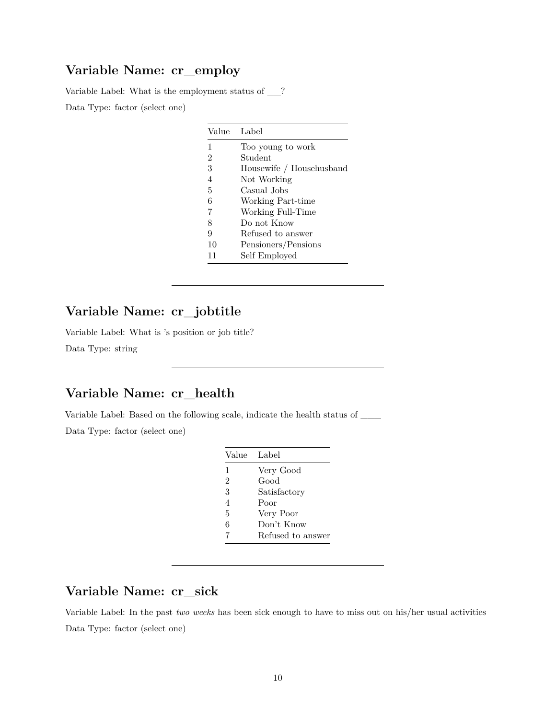#### **Variable Name: cr\_employ**

Variable Label: What is the employment status of \_\_? Data Type: factor (select one)

| Value Label    |                          |
|----------------|--------------------------|
| 1              | Too young to work        |
| $\overline{2}$ | Student                  |
| 3              | Housewife / Househusband |
| 4              | Not Working              |
| 5              | Casual Jobs              |
| 6              | Working Part-time        |
| 7              | Working Full-Time        |
| 8              | Do not Know              |
| 9              | Refused to answer        |
| 10             | Pensioners/Pensions      |
| 11             | Self Employed            |

# **Variable Name: cr\_jobtitle**

Variable Label: What is 's position or job title? Data Type: string

### **Variable Name: cr\_health**

Variable Label: Based on the following scale, indicate the health status of \_\_\_

Data Type: factor (select one)

| Value          | Label             |
|----------------|-------------------|
| 1              | Very Good         |
| $\overline{2}$ | Good              |
| 3              | Satisfactory      |
| $\overline{4}$ | Poor              |
| 5              | Very Poor         |
| 6              | Don't Know        |
| 7              | Refused to answer |

### **Variable Name: cr\_sick**

Variable Label: In the past *two weeks* has been sick enough to have to miss out on his/her usual activities Data Type: factor (select one)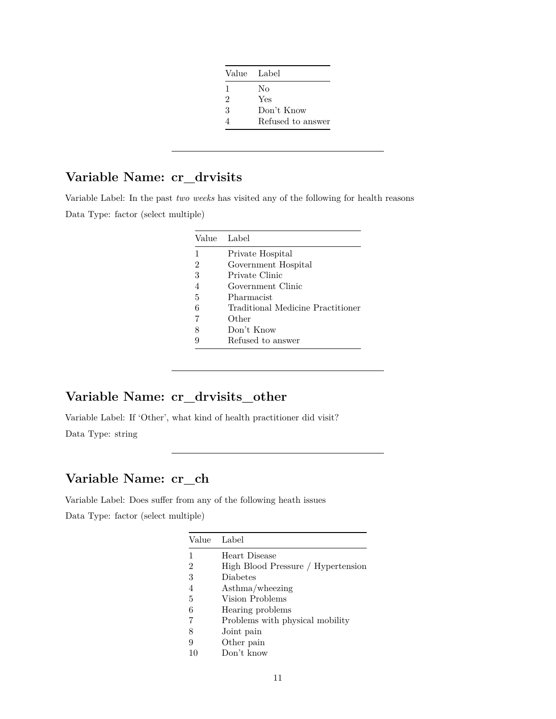| Value Label    |                   |
|----------------|-------------------|
| 1              | No                |
| $\mathfrak{D}$ | Yes               |
| 3              | Don't Know        |
|                | Refused to answer |

# **Variable Name: cr\_drvisits**

Variable Label: In the past *two weeks* has visited any of the following for health reasons Data Type: factor (select multiple)

|   | Value Label                       |
|---|-----------------------------------|
| 1 | Private Hospital                  |
| 2 | Government Hospital               |
| 3 | Private Clinic                    |
| 4 | Government Clinic                 |
| 5 | Pharmacist                        |
| 6 | Traditional Medicine Practitioner |
|   | Other                             |
| 8 | Don't Know                        |
| q | Refused to answer                 |
|   |                                   |

# **Variable Name: cr\_drvisits\_other**

Variable Label: If 'Other', what kind of health practitioner did visit?

Data Type: string

### **Variable Name: cr\_ch**

Variable Label: Does suffer from any of the following heath issues Data Type: factor (select multiple)

| Label                              |
|------------------------------------|
| Heart Disease                      |
| High Blood Pressure / Hypertension |
| Diabetes                           |
| Asthma/wheezing                    |
| Vision Problems                    |
| Hearing problems                   |
| Problems with physical mobility    |
| Joint pain                         |
| Other pain                         |
| Don't know                         |
|                                    |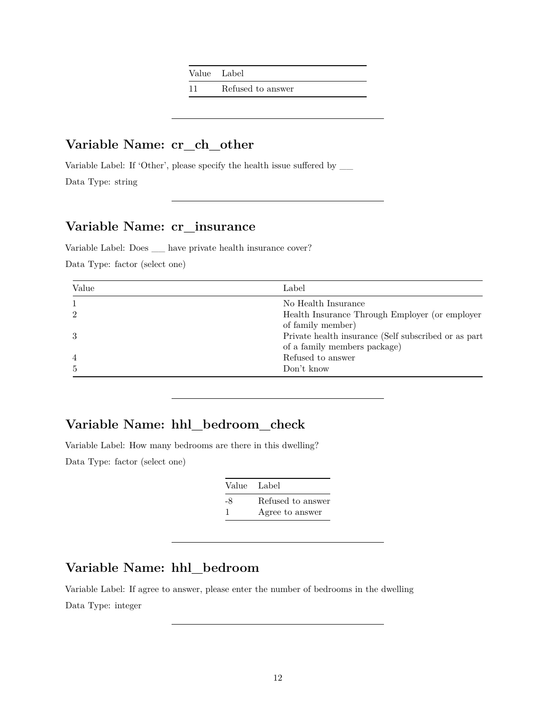Value Label

11 Refused to answer

# **Variable Name: cr\_ch\_other**

Variable Label: If 'Other', please specify the health issue suffered by  $\_\_$ Data Type: string

#### **Variable Name: cr\_insurance**

Variable Label: Does \_\_ have private health insurance cover?

Data Type: factor (select one)

| Value          | Label                                                |
|----------------|------------------------------------------------------|
|                | No Health Insurance                                  |
| 2              | Health Insurance Through Employer (or employer       |
|                | of family member)                                    |
| 3              | Private health insurance (Self subscribed or as part |
|                | of a family members package)                         |
| $\overline{4}$ | Refused to answer                                    |
| 5              | Don't know                                           |

#### **Variable Name: hhl\_bedroom\_check**

Variable Label: How many bedrooms are there in this dwelling? Data Type: factor (select one)

| Value Label |                   |
|-------------|-------------------|
| -8          | Refused to answer |
|             | Agree to answer   |

# **Variable Name: hhl\_bedroom**

Variable Label: If agree to answer, please enter the number of bedrooms in the dwelling Data Type: integer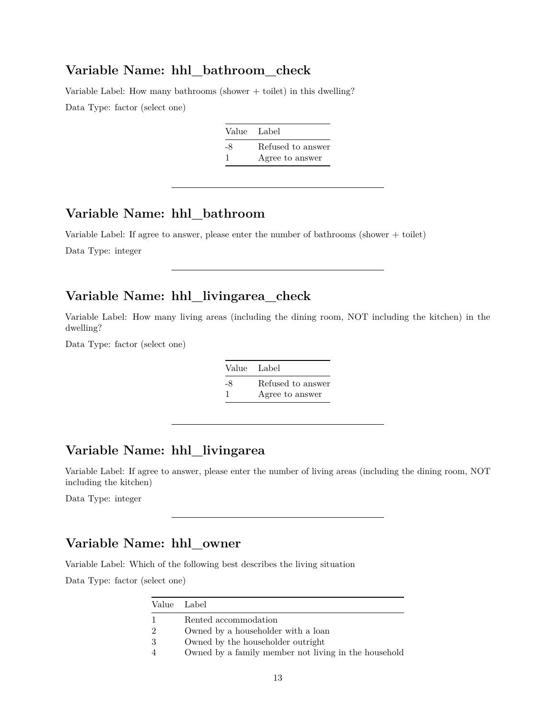#### **Variable Name: hhl\_bathroom\_check**

Variable Label: How many bathrooms (shower  $+$  toilet) in this dwelling? Data Type: factor (select one)

|    | Value Label       |
|----|-------------------|
| -8 | Refused to answer |
|    | Agree to answer   |

# **Variable Name: hhl\_bathroom**

Variable Label: If agree to answer, please enter the number of bathrooms (shower + toilet)

Data Type: integer

# **Variable Name: hhl\_livingarea\_check**

Variable Label: How many living areas (including the dining room, NOT including the kitchen) in the dwelling?

Data Type: factor (select one)

| Value Label |                   |
|-------------|-------------------|
| -8          | Refused to answer |
| -1          | Agree to answer   |

### **Variable Name: hhl\_livingarea**

Variable Label: If agree to answer, please enter the number of living areas (including the dining room, NOT including the kitchen)

Data Type: integer

#### **Variable Name: hhl\_owner**

Variable Label: Which of the following best describes the living situation

|                | Value Label                                          |
|----------------|------------------------------------------------------|
|                | Rented accommodation                                 |
| $\overline{2}$ | Owned by a householder with a loan                   |
| 3              | Owned by the householder outright                    |
| $\overline{4}$ | Owned by a family member not living in the household |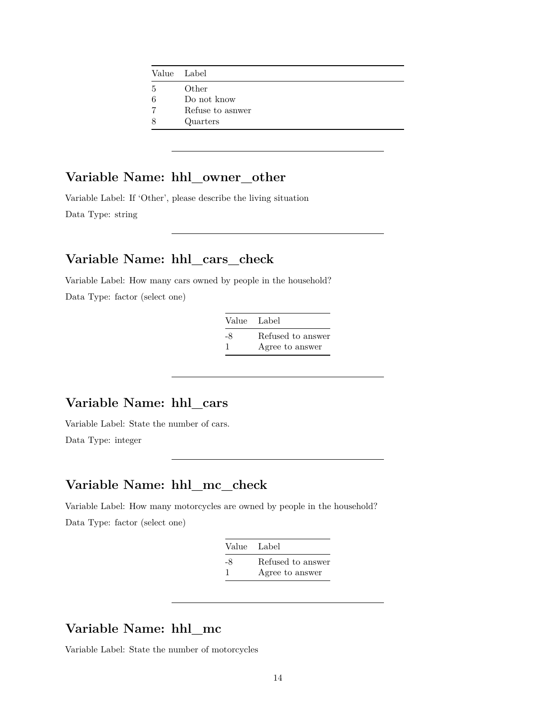|   | Value Label      |
|---|------------------|
| 5 | Other            |
| 6 | Do not know      |
| 7 | Refuse to asnwer |
| 8 | Quarters         |
|   |                  |

### **Variable Name: hhl\_owner\_other**

Variable Label: If 'Other', please describe the living situation Data Type: string

#### **Variable Name: hhl\_cars\_check**

Variable Label: How many cars owned by people in the household? Data Type: factor (select one)

| Value Label |                   |
|-------------|-------------------|
| -8          | Refused to answer |
|             | Agree to answer   |

### **Variable Name: hhl\_cars**

Variable Label: State the number of cars. Data Type: integer

#### **Variable Name: hhl\_mc\_check**

Variable Label: How many motorcycles are owned by people in the household? Data Type: factor (select one)

| Value Label |                   |
|-------------|-------------------|
| -8          | Refused to answer |
|             | Agree to answer   |

# **Variable Name: hhl\_mc**

Variable Label: State the number of motorcycles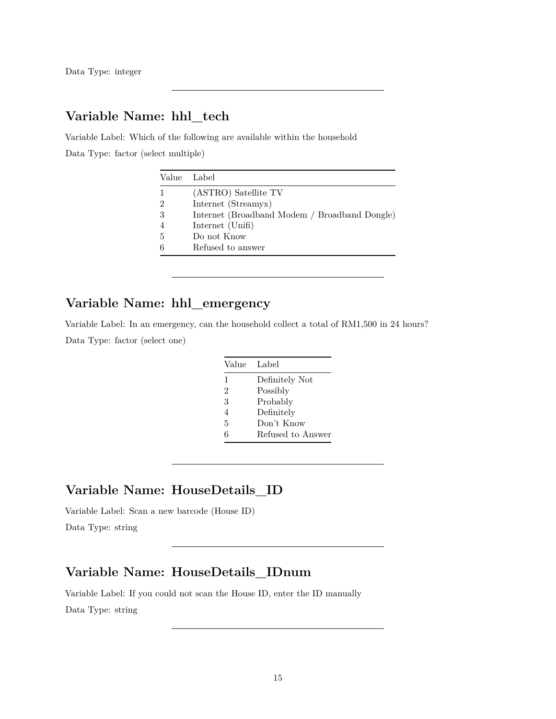Data Type: integer

### **Variable Name: hhl\_tech**

Variable Label: Which of the following are available within the household Data Type: factor (select multiple)

| Label                                         |
|-----------------------------------------------|
| (ASTRO) Satellite TV                          |
| Internet (Streamyx)                           |
| Internet (Broadband Modem / Broadband Dongle) |
| Internet (Unifi)                              |
| Do not Know                                   |
| Refused to answer                             |
|                                               |

### **Variable Name: hhl\_emergency**

Variable Label: In an emergency, can the household collect a total of RM1,500 in 24 hours? Data Type: factor (select one)

| Value          | Label             |
|----------------|-------------------|
| 1              | Definitely Not    |
| $\overline{2}$ | Possibly          |
| 3              | Probably          |
| 4              | Definitely        |
| 5              | Don't Know        |
| հ              | Refused to Answer |

#### **Variable Name: HouseDetails\_ID**

Variable Label: Scan a new barcode (House ID)

Data Type: string

#### **Variable Name: HouseDetails\_IDnum**

Variable Label: If you could not scan the House ID, enter the ID manually Data Type: string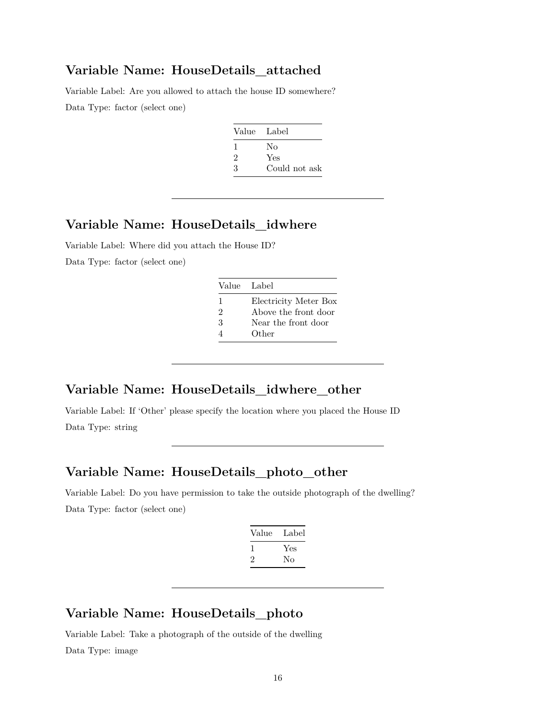#### **Variable Name: HouseDetails\_attached**

Variable Label: Are you allowed to attach the house ID somewhere?

Data Type: factor (select one)

| Value Label |               |
|-------------|---------------|
| I.          | No            |
| 2           | Yes           |
| З           | Could not ask |
|             |               |

#### **Variable Name: HouseDetails\_idwhere**

Variable Label: Where did you attach the House ID? Data Type: factor (select one)

| Value Label    |                       |
|----------------|-----------------------|
| 1              | Electricity Meter Box |
| $\mathfrak{D}$ | Above the front door  |
| 3              | Near the front door   |
|                | Other                 |

# **Variable Name: HouseDetails\_idwhere\_other**

Variable Label: If 'Other' please specify the location where you placed the House ID Data Type: string

#### **Variable Name: HouseDetails\_photo\_other**

Variable Label: Do you have permission to take the outside photograph of the dwelling? Data Type: factor (select one)

| Label |
|-------|
| Yes   |
| Nο    |
|       |

# **Variable Name: HouseDetails\_photo**

Variable Label: Take a photograph of the outside of the dwelling Data Type: image